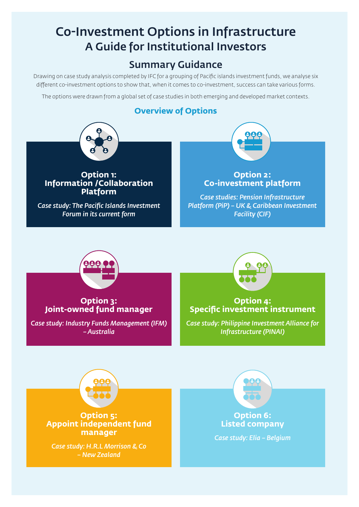## Co-Investment Options in Infrastructure A Guide for Institutional Investors

## Summary Guidance

Drawing on case study analysis completed by IFC for a grouping of Pacific islands investment funds, we analyse six different co-investment options to show that, when it comes to co-investment, success can take various forms.

The options were drawn from a global set of case studies in both emerging and developed market contexts.

## **Overview of Options**